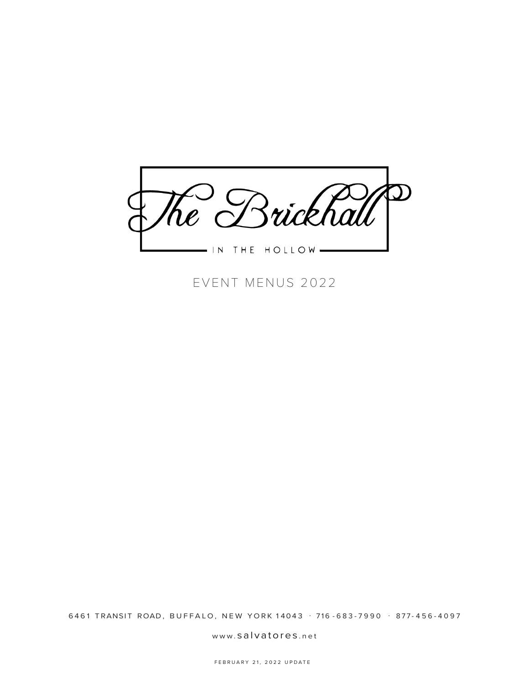

EVENT MENUS 2022

6461 TRANSIT ROAD, BUFFALO, NEW YORK 14043 . 716 - 683 - 7990 . 877 - 456 - 4097

www. salvatores .net

FEBRUARY 21, 2022 UPDATE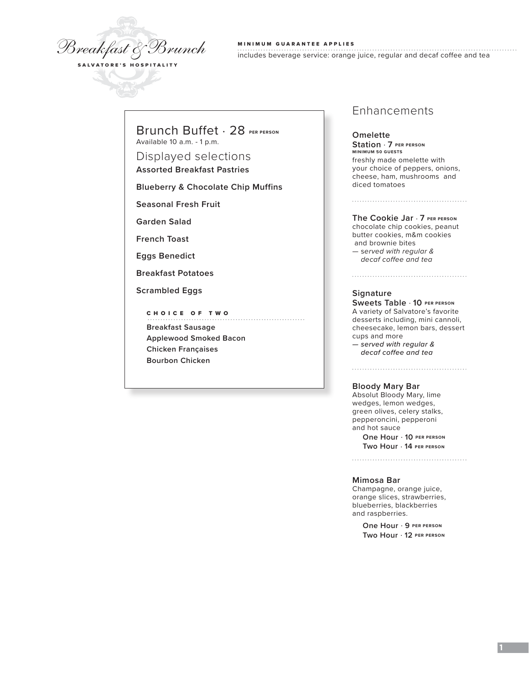

MINIMUM GUARANTEE APPLIES

includes beverage service: orange juice, regular and decaf coffee and tea

Brunch Buffet . 28 **PER PERSON** Available 10 a.m. - 1 p.m.

Displayed selections **Assorted Breakfast Pastries**

**Blueberry & Chocolate Chip Muffins**

**Seasonal Fresh Fruit**

**Garden Salad**

**French Toast**

**Eggs Benedict**

**Breakfast Potatoes**

**Scrambled Eggs**

CHOICE OF TWO **Breakfast Sausage Applewood Smoked Bacon Chicken Françaises Bourbon Chicken**

# Enhancements

**Omelette Station** . **7 PER PERSON MINIMUM 50 GUESTS** freshly made omelette with your choice of peppers, onions, cheese, ham, mushrooms and diced tomatoes

**The Cookie Jar** . **7 PER PERSON** 

chocolate chip cookies, peanut butter cookies, m&m cookies and brownie bites — s*erved with regular & decaf coffee and tea*

#### **Signature**

**Sweets Table** . **10 PER PERSON** A variety of Salvatore's favorite desserts including, mini cannoli, cheesecake, lemon bars, dessert cups and more *— served with regular & decaf coffee and tea*

### **Bloody Mary Bar**

Absolut Bloody Mary, lime wedges, lemon wedges, green olives, celery stalks, pepperoncini, pepperoni and hot sauce

> **One Hour** . **10 PER PERSON Two Hour** . **14 PER PERSON**

#### **Mimosa Bar**

Champagne, orange juice, orange slices, strawberries, blueberries, blackberries and raspberries.

> **One Hour** . **9 PER PERSON Two Hour** . **12 PER PERSON**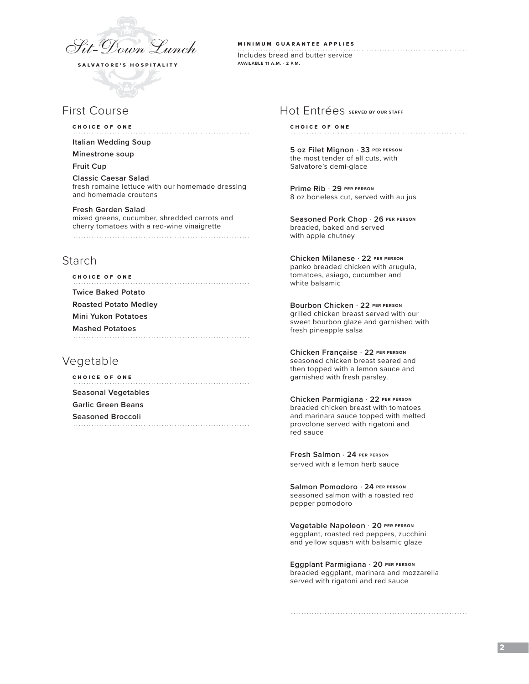

# First Course

### CHOICE OF ONE

**Italian Wedding Soup** 

#### **Minestrone soup**

**Fruit Cup**

**Classic Caesar Salad** fresh romaine lettuce with our homemade dressing and homemade croutons

#### **Fresh Garden Salad**

mixed greens, cucumber, shredded carrots and cherry tomatoes with a red-wine vinaigrette 

# Starch

| <b>CHOICE OF ONE</b>         |
|------------------------------|
| <b>Twice Baked Potato</b>    |
| <b>Roasted Potato Medley</b> |
| Mini Yukon Potatoes          |
| <b>Mashed Potatoes</b>       |
|                              |

# Vegetable

CHOICE OF ONE **Seasonal Vegetables Garlic Green Beans Seasoned Broccoli** 

#### MINIMUM GUARANTEE APPLIES

Includes bread and butter service **AVAILABLE 11 A.M. - 2 P.M.**

## Hot Entrées **SERVED BY OUR STAFF**

### CHOICE OF ONE

**5 oz Filet Mignon** . **33 PER PERSON** the most tender of all cuts, with Salvatore's demi-glace

**Prime Rib** . **29 PER PERSON** 8 oz boneless cut, served with au jus

**Seasoned Pork Chop** . **26 PER PERSON** breaded, baked and served with apple chutney

**Chicken Milanese** . **22 PER PERSON** panko breaded chicken with arugula, tomatoes, asiago, cucumber and white balsamic

**Bourbon Chicken** . **22 PER PERSON** grilled chicken breast served with our sweet bourbon glaze and garnished with fresh pineapple salsa

**Chicken Française** . **22 PER PERSON** seasoned chicken breast seared and then topped with a lemon sauce and garnished with fresh parsley.

**Chicken Parmigiana** . **22 PER PERSON** breaded chicken breast with tomatoes and marinara sauce topped with melted provolone served with rigatoni and red sauce

**Fresh Salmon** . **24 PER PERSON** served with a lemon herb sauce

**Salmon Pomodoro** . **24 PER PERSON** seasoned salmon with a roasted red pepper pomodoro

**Vegetable Napoleon** . **20 PER PERSON** eggplant, roasted red peppers, zucchini and yellow squash with balsamic glaze

**Eggplant Parmigiana** . **20 PER PERSON** breaded eggplant, marinara and mozzarella served with rigatoni and red sauce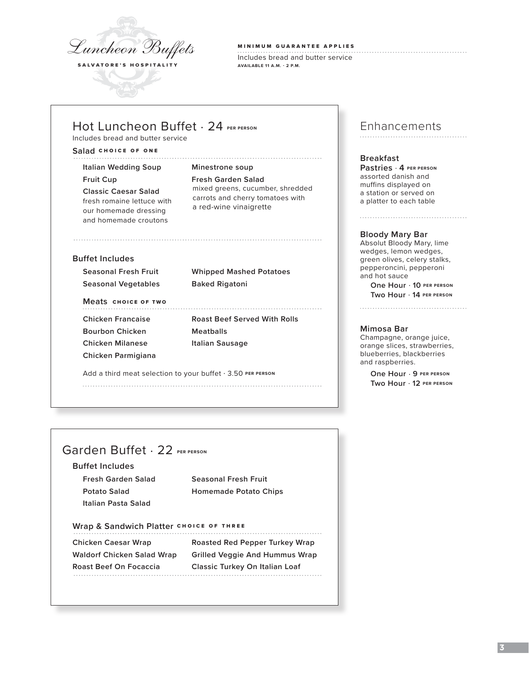

MINIMUM GUARANTEE APPLIES

Includes bread and butter service **AVAILABLE 11 A.M. - 2 P.M.**

# Hot Luncheon Buffet . 24 **PER PERSON**

Includes bread and butter service

### **Salad** CHOICE OF ONE

**Italian Wedding Soup Minestrone soup**

our homemade dressing and homemade croutons

**Fruit Cup Fresh Garden Salad Classic Caesar Salad** mixed greens, cucumber, shredded **FRESH CONSULTER FRESH ROMAINE CARRY CARRY CARRY CARRY CONSULTER CONSULTABLE CARRY CARRY CARRY CARRY CARRY CARRY CARRY CARRY CARRY CARRY CARRY CARRY CARRY CARRY CARRY CARRY CARRY CARRY CARRY CARRY CARRY CARRY CARRY CARRY C** 

### **Buffet Includes**

**Seasonal Vegetables Baked Rigatoni**

**Seasonal Fresh Fruit Whipped Mashed Potatoes**

### **Meats** CHOICE OF TWO

**Bourbon Chicken Meatballs Chicken Milanese Italian Sausage Chicken Parmigiana**

**Chicken Francaise Roast Beef Served With Rolls**

Add a third meat selection to your buffet . 3.50 **PER PERSON** 

# Enhancements

### **Breakfast**

**Pastries** . **4 PER PERSON** assorted danish and muffins displayed on a station or served on a platter to each table

### **Bloody Mary Bar**

Absolut Bloody Mary, lime wedges, lemon wedges, green olives, celery stalks, pepperoncini, pepperoni and hot sauce **One Hour** . **10 PER PERSON Two Hour** . **14 PER PERSON**

### **Mimosa Bar**

Champagne, orange juice, orange slices, strawberries, blueberries, blackberries and raspberries.

**One Hour** . **9 PER PERSON Two Hour** . **12 PER PERSON**

# Garden Buffet . 22 **PER PERSON**

### **Buffet Includes**

**Fresh Garden Salad Seasonal Fresh Fruit Italian Pasta Salad**

**Potato Salad Homemade Potato Chips**

# Wrap & Sandwich Platter CHOICE OF THREE

**Chicken Caesar Wrap Roasted Red Pepper Turkey Wrap Waldorf Chicken Salad Wrap Grilled Veggie And Hummus Wrap Roast Beef On Focaccia Classic Turkey On Italian Loaf**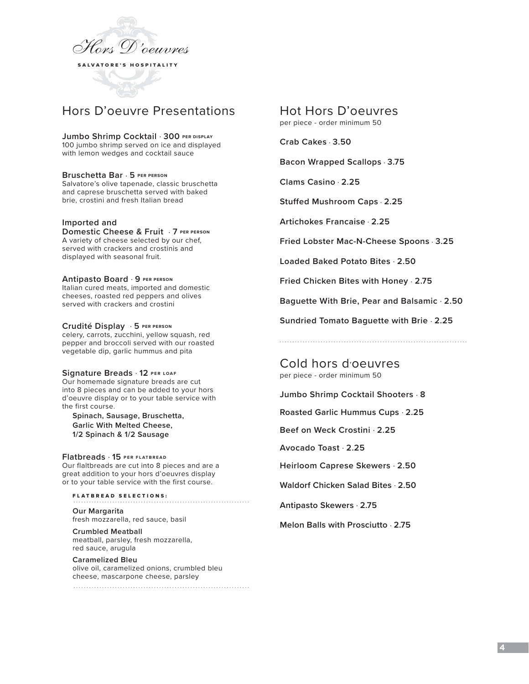

# Hors D'oeuvre Presentations

**Jumbo Shrimp Cocktail** . **300 PER DISPLAY** 100 jumbo shrimp served on ice and displayed with lemon wedges and cocktail sauce

### **Bruschetta Bar** . **5 PER PERSON**

Salvatore's olive tapenade, classic bruschetta and caprese bruschetta served with baked brie, crostini and fresh Italian bread

### **Imported and**

**Domestic Cheese & Fruit** . **7 PER PERSON** A variety of cheese selected by our chef, served with crackers and crostinis and displayed with seasonal fruit.

**Antipasto Board** . **9 PER PERSON** Italian cured meats, imported and domestic cheeses, roasted red peppers and olives served with crackers and crostini

### **Crudité Display** . **5 PER PERSON**

celery, carrots, zucchini, yellow squash, red pepper and broccoli served with our roasted vegetable dip, garlic hummus and pita

#### **Signature Breads** . **12 PER LOAF**

Our homemade signature breads are cut into 8 pieces and can be added to your hors d'oeuvre display or to your table service with the first course.

**Spinach, Sausage, Bruschetta, Garlic With Melted Cheese, 1/2 Spinach & 1/2 Sausage**

#### **Flatbreads** . **15 PER FLATBREAD**

Our flaltbreads are cut into 8 pieces and are a great addition to your hors d'oeuvres display or to your table service with the first course.

FLATBREAD SELECTIONS:

**Our Margarita**  fresh mozzarella, red sauce, basil

**Crumbled Meatball**  meatball, parsley, fresh mozzarella, red sauce, arugula

# **Caramelized Bleu** olive oil, caramelized onions, crumbled bleu cheese, mascarpone cheese, parsley

# Hot Hors D'oeuvres

per piece - order minimum 50

**Crab Cakes** . **3.50** 

**Bacon Wrapped Scallops** . **3.75**

**Clams Casino** . **2.25**

**Stuffed Mushroom Caps** . **2.25**

**Artichokes Francaise** . **2.25**

**Fried Lobster Mac-N-Cheese Spoons** . **3.25**

**Loaded Baked Potato Bites** . **2.50**

**Fried Chicken Bites with Honey** . **2.75**

**Baguette With Brie, Pear and Balsamic** . **2.50**

**Sundried Tomato Baguette with Brie** . **2.25**

Cold hors d'oeuvres per piece - order minimum 50

**Jumbo Shrimp Cocktail Shooters** . **8**

**Roasted Garlic Hummus Cups** . **2.25**

**Beef on Weck Crostini** . **2.25**

**Avocado Toast** . **2.25**

**Heirloom Caprese Skewers** . **2.50**

**Waldorf Chicken Salad Bites** . **2.50** 

**Antipasto Skewers** . **2.75** 

**Melon Balls with Prosciutto** . **2.75**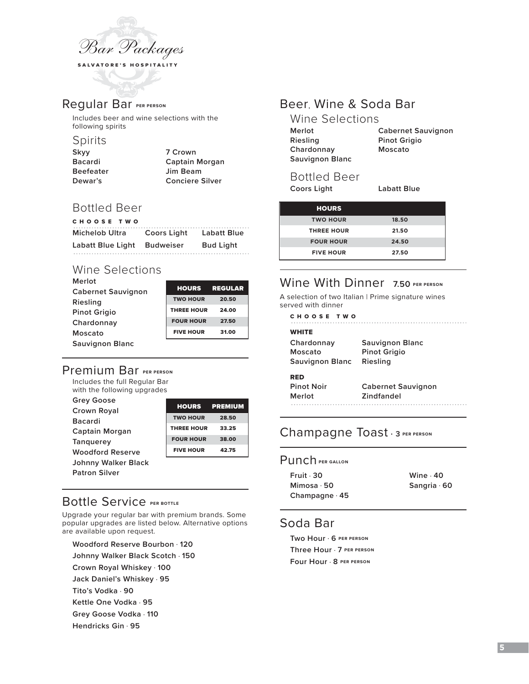

# Regular Bar **PER PERSON**

Includes beer and wine selections with the following spirits

# Spirits

| 7 Crown                |
|------------------------|
| Captain Morgan         |
| Jim Beam               |
| <b>Conciere Silver</b> |
|                        |

# Bottled Beer

| CHOOSE TWO               |                  |                    |
|--------------------------|------------------|--------------------|
| <b>Michelob Ultra</b>    | Coors Light      | <b>Labatt Blue</b> |
| <b>Labatt Blue Light</b> | <b>Budweiser</b> | <b>Bud Light</b>   |

# Wine Selections

| Merlot                    |                   |                |
|---------------------------|-------------------|----------------|
| <b>Cabernet Sauvignon</b> | <b>HOURS</b>      | <b>REGULAR</b> |
| Riesling                  | <b>TWO HOUR</b>   | 20.50          |
| <b>Pinot Grigio</b>       | <b>THREE HOUR</b> | 24.00          |
| Chardonnay                | <b>FOUR HOUR</b>  | 27.50          |
| Moscato                   | <b>FIVE HOUR</b>  | 31.00          |
| <b>Sauvignon Blanc</b>    |                   |                |

# Premium Bar **PER PERSON**

Includes the full Regular Bar with the following upgrades

| <b>Grey Goose</b>       |                   | <b>PREMIUM</b> |
|-------------------------|-------------------|----------------|
| Crown Royal             | <b>HOURS</b>      |                |
| <b>Bacardi</b>          | <b>TWO HOUR</b>   | 28.50          |
| Captain Morgan          | <b>THREE HOUR</b> | 33.25          |
|                         | <b>FOUR HOUR</b>  | 38.00          |
| <b>Tanguerey</b>        |                   |                |
| <b>Woodford Reserve</b> | <b>FIVE HOUR</b>  | 42.75          |
| Johnny Walker Black     |                   |                |
| <b>Patron Silver</b>    |                   |                |

# Bottle Service **PER BOTTLE**

Upgrade your regular bar with premium brands. Some popular upgrades are listed below. Alternative options are available upon request.

**Woodford Reserve Bourbon** . **120**

**Johnny Walker Black Scotch** . **150**

**Crown Royal Whiskey** . **100**

**Jack Daniel's Whiskey** . **95**

**Tito's Vodka** . **90**

**Kettle One Vodka** . **95**

**Grey Goose Vodka** . **110**

**Hendricks Gin** . **95**

# Beer, Wine & Soda Bar

| Wine Selections        |                           |
|------------------------|---------------------------|
| Merlot                 | <b>Cabernet Sauvignon</b> |
| Riesling               | <b>Pinot Grigio</b>       |
| Chardonnay             | Moscato                   |
| <b>Sauvignon Blanc</b> |                           |
|                        |                           |

# Bottled Beer

**Coors Light Labatt Blue** 

| <b>HOURS</b>      |       |
|-------------------|-------|
| <b>TWO HOUR</b>   | 18.50 |
| <b>THREE HOUR</b> | 21.50 |
| <b>FOUR HOUR</b>  | 24.50 |
| <b>FIVE HOUR</b>  | 27.50 |

# Wine With Dinner 7.50 PER PERSON

A selection of two Italian | Prime signature wines served with dinner

CHOOSE TWO 

| <b>WHITE</b>      |                           |
|-------------------|---------------------------|
| Chardonnay        | Sauvignon Blanc           |
| Moscato           | <b>Pinot Grigio</b>       |
| Sauvignon Blanc   | Riesling                  |
| RED               |                           |
| <b>Pinot Noir</b> | <b>Cabernet Sauvignon</b> |

| Merlot | <b>Zindfandel</b> |  |
|--------|-------------------|--|
|        |                   |  |

# Champagne Toast . **<sup>3</sup> PER PERSON**

### Punch **PER GALLON**

| Fruit · 30     | Wine $.40$         |
|----------------|--------------------|
| Mimosa · 50    | Sangria $\cdot$ 60 |
| Champagne · 45 |                    |

# Soda Bar

**Two Hour** . **6 PER PERSON Three Hour** . **7 PER PERSON Four Hour** . **8 PER PERSON**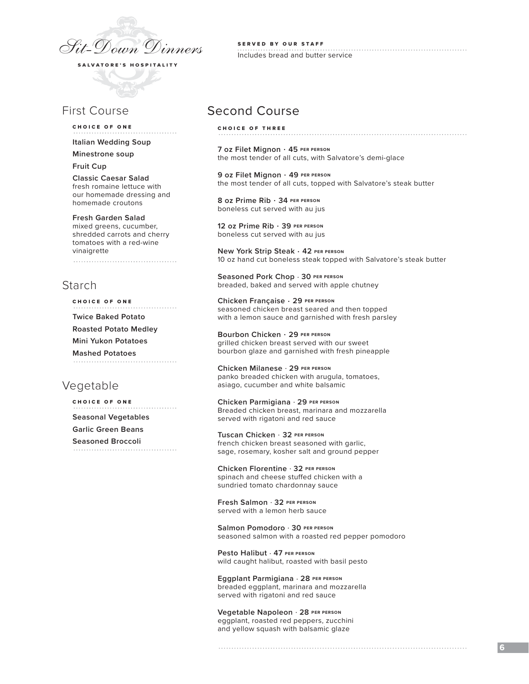

# First Course

#### CHOICE OF ONE

**Italian Wedding Soup** 

**Minestrone soup**

**Fruit Cup**

**Classic Caesar Salad** fresh romaine lettuce with our homemade dressing and homemade croutons

#### **Fresh Garden Salad**

mixed greens, cucumber, shredded carrots and cherry tomatoes with a red-wine vinaigrette 

# Starch

CHOICE OF ONE

**Twice Baked Potato**

**Roasted Potato Medley**

**Mini Yukon Potatoes**

**Mashed Potatoes** 

# Vegetable

CHOICE OF ONE **Seasonal Vegetables**

**Garlic Green Beans**

**Seasoned Broccoli**

SERVED BY OUR STAFF Includes bread and butter service

# Second Course

CHOICE OF THREE

**7 oz Filet Mignon** . **45 PER PERSON** the most tender of all cuts, with Salvatore's demi-glace

**9 oz Filet Mignon** . **49 PER PERSON** the most tender of all cuts, topped with Salvatore's steak butter

**8 oz Prime Rib** . **34 PER PERSON** boneless cut served with au jus

**12 oz Prime Rib** . **39 PER PERSON** boneless cut served with au jus

**New York Strip Steak** . **42 PER PERSON** 10 oz hand cut boneless steak topped with Salvatore's steak butter

**Seasoned Pork Chop** . **30 PER PERSON** breaded, baked and served with apple chutney

**Chicken Française** . **29 PER PERSON** seasoned chicken breast seared and then topped with a lemon sauce and garnished with fresh parsley

**Bourbon Chicken** . **29 PER PERSON** grilled chicken breast served with our sweet bourbon glaze and garnished with fresh pineapple

**Chicken Milanese** . **29 PER PERSON** panko breaded chicken with arugula, tomatoes, asiago, cucumber and white balsamic

**Chicken Parmigiana** . **29 PER PERSON** Breaded chicken breast, marinara and mozzarella served with rigatoni and red sauce

**Tuscan Chicken** . **32 PER PERSON** french chicken breast seasoned with garlic, sage, rosemary, kosher salt and ground pepper

**Chicken Florentine** . **32 PER PERSON** spinach and cheese stuffed chicken with a sundried tomato chardonnay sauce

**Fresh Salmon** . **32 PER PERSON** served with a lemon herb sauce

**Salmon Pomodoro** . **30 PER PERSON** seasoned salmon with a roasted red pepper pomodoro

**Pesto Halibut** . **47 PER PERSON** wild caught halibut, roasted with basil pesto

**Eggplant Parmigiana** . **28 PER PERSON** breaded eggplant, marinara and mozzarella served with rigatoni and red sauce

**Vegetable Napoleon** . **28 PER PERSON** eggplant, roasted red peppers, zucchini and yellow squash with balsamic glaze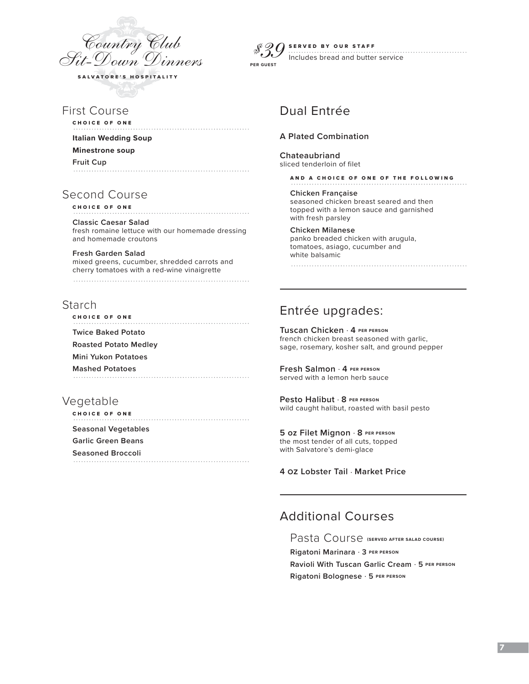

First Course

CHOICE OF ONE

**Italian Wedding Soup Minestrone soup**

**Fruit Cup**

# Second Course

CHOICE OF ONE

**Classic Caesar Salad** fresh romaine lettuce with our homemade dressing and homemade croutons

**Fresh Garden Salad**  mixed greens, cucumber, shredded carrots and cherry tomatoes with a red-wine vinaigrette 

# Starch

CHOICE OF ONE **Twice Baked Potato Roasted Potato Medley Mini Yukon Potatoes Mashed Potatoes**

# Vegetable

CHOICE OF ONE **Seasonal Vegetables Garlic Green Beans Seasoned Broccoli**

*\$39* **PER GUEST**SERVED BY OUR STAFF . . . . . . . . . . . Includes bread and butter service

# Dual Entrée

### **A Plated Combination**

**Chateaubriand** sliced tenderloin of filet

AND A CHOICE OF ONE OF THE FOLLOWING

**Chicken Française** seasoned chicken breast seared and then topped with a lemon sauce and garnished with fresh parsley

### **Chicken Milanese**

panko breaded chicken with arugula, tomatoes, asiago, cucumber and white balsamic

Entrée upgrades:

**Tuscan Chicken** . **4 PER PERSON** french chicken breast seasoned with garlic, sage, rosemary, kosher salt, and ground pepper

**Fresh Salmon** . **4 PER PERSON** served with a lemon herb sauce

**Pesto Halibut** . **8 PER PERSON** wild caught halibut, roasted with basil pesto

**5 oz Filet Mignon** . **8 PER PERSON** the most tender of all cuts, topped

with Salvatore's demi-glace

**4 oz Lobster Tail** . **Market Price**

# Additional Courses

Pasta Course **(SERVED AFTER SALAD COURSE) Rigatoni Marinara** . **3 PER PERSON Ravioli With Tuscan Garlic Cream** . **5 PER PERSON**

**Rigatoni Bolognese** . **5 PER PERSON**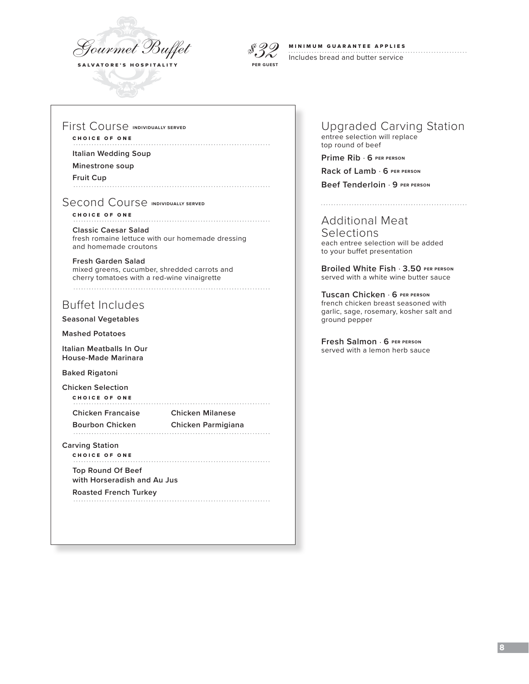



### MINIMUM GUARANTEE APPLIES

Includes bread and butter service

### First Course **INDIVIDUALLY SERVED**

### CHOICE OF ONE

**Italian Wedding Soup** 

#### **Minestrone soup**

**Fruit Cup**

### Second Course **INDIVIDUALLY SERVED**

CHOICE OF ONE 

#### **Classic Caesar Salad** fresh romaine lettuce with our homemade dressing and homemade croutons

**Fresh Garden Salad**  mixed greens, cucumber, shredded carrots and cherry tomatoes with a red-wine vinaigrette 

# Buffet Includes

**Seasonal Vegetables**

**Mashed Potatoes**

**Italian Meatballs In Our House-Made Marinara**

**Baked Rigatoni**

**Chicken Selection** CHOICE OF ONE

**Chicken Francaise Chicken Milanese**

**Bourbon Chicken Chicken Parmigiana**

# **Carving Station**

CHOICE OF ONE **Top Round Of Beef** 

**with Horseradish and Au Jus**

**Roasted French Turkey** 

### Upgraded Carving Station entree selection will replace top round of beef

**Prime Rib** . **6 PER PERSON**

**Rack of Lamb** . **6 PER PERSON**

**Beef Tenderloin** . **9 PER PERSON**

# Additional Meat

**Selections** each entree selection will be added to your buffet presentation

**Broiled White Fish** . **3.50 PER PERSON** served with a white wine butter sauce

**Tuscan Chicken** . **6 PER PERSON** french chicken breast seasoned with garlic, sage, rosemary, kosher salt and ground pepper

**Fresh Salmon** . **6 PER PERSON** served with a lemon herb sauce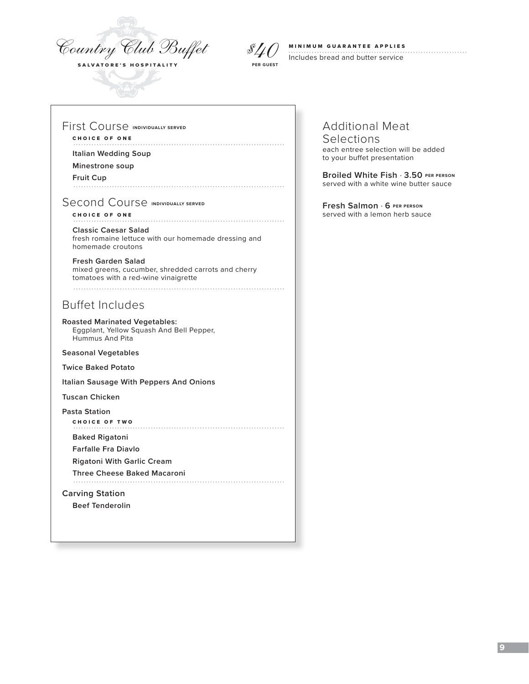



# MINIMUM GUARANTEE APPLIES

Includes bread and butter service

### First Course **INDIVIDUALLY SERVED**

# CHOICE OF ONE

**Italian Wedding Soup** 

### **Minestrone soup**

**Fruit Cup**

## Second Course **INDIVIDUALLY SERVED**

#### CHOICE OF ONE **Classic Caesar Salad** fresh romaine lettuce with our homemade dressing and

homemade croutons

**Fresh Garden Salad**  mixed greens, cucumber, shredded carrots and cherry tomatoes with a red-wine vinaigrette 

# Buffet Includes

**Roasted Marinated Vegetables:**  Eggplant, Yellow Squash And Bell Pepper, Hummus And Pita

#### **Seasonal Vegetables**

**Twice Baked Potato**

**Italian Sausage With Peppers And Onions**

**Tuscan Chicken**

**Pasta Station**

CHOICE OF TWO

**Baked Rigatoni** 

**Farfalle Fra Diavlo**

**Rigatoni With Garlic Cream**

**Three Cheese Baked Macaroni**

### **Carving Station**

**Beef Tenderolin**

# Additional Meat

### Selections each entree selection will be added

to your buffet presentation

**Broiled White Fish** . **3.50 PER PERSON** served with a white wine butter sauce

**Fresh Salmon** . **6 PER PERSON** served with a lemon herb sauce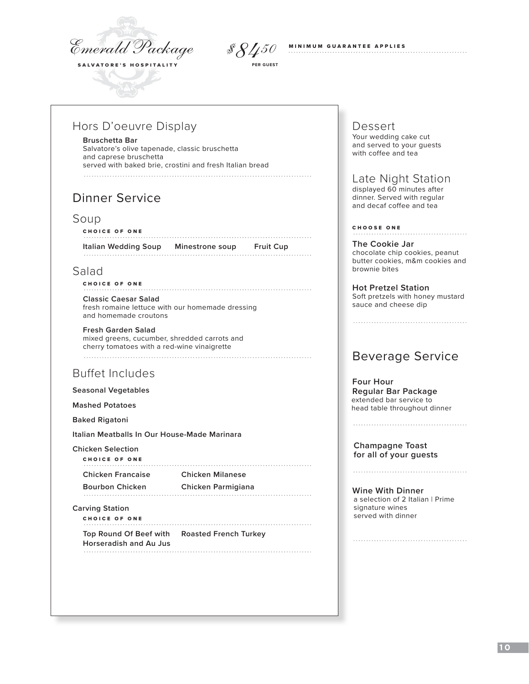*Emerald Package*



**PER GUEST**

MINIMUM GUARANTEE APPLIES *\$8450*

# Hors D'oeuvre Display

#### **Bruschetta Bar**

Salvatore's olive tapenade, classic bruschetta and caprese bruschetta served with baked brie, crostini and fresh Italian bread 

# Dinner Service

### Soup

### CHOICE OF ONE **Italian Wedding Soup Minestrone soup Fruit Cup**

# Salad

## CHOICE OF ONE

**Classic Caesar Salad** fresh romaine lettuce with our homemade dressing and homemade croutons

### **Fresh Garden Salad**

mixed greens, cucumber, shredded carrots and cherry tomatoes with a red-wine vinaigrette 

# Buffet Includes

**Seasonal Vegetables**

**Mashed Potatoes** 

**Baked Rigatoni**

**Italian Meatballs In Our House-Made Marinara**

**Chicken Selection**

| CHOICE OF ONE            |                         |
|--------------------------|-------------------------|
| <b>Chicken Francaise</b> | <b>Chicken Milanese</b> |
| <b>Bourbon Chicken</b>   | Chicken Parmigiana      |
|                          |                         |

### **Carving Station**

CHOICE OF ONE **Top Round Of Beef with Roasted French Turkey Horseradish and Au Jus**

# Dessert

Your wedding cake cut and served to your guests with coffee and tea

# Late Night Station

 displayed 60 minutes after dinner. Served with regular and decaf coffee and tea

### CHOOSE ONE

**The Cookie Jar** chocolate chip cookies, peanut butter cookies, m&m cookies and brownie bites

**Hot Pretzel Station**  Soft pretzels with honey mustard sauce and cheese dip

# Beverage Service

#### **Four Hour Regular Bar Package** extended bar service to head table throughout dinner

**Champagne Toast for all of your guests**

**Wine With Dinner** a selection of 2 Italian | Prime signature wines served with dinner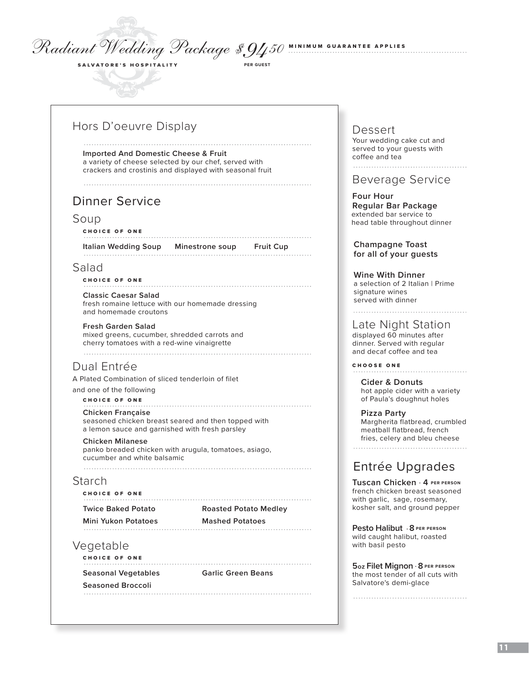# *Radiant Wedding Package*

# Hors D'oeuvre Display

SALVATORE'S HOSPITALITY

**Imported And Domestic Cheese & Fruit** a variety of cheese selected by our chef, served with crackers and crostinis and displayed with seasonal fruit

# Dinner Service

### Soup

#### CHOICE OF ONE

**Italian Wedding Soup Minestrone soup Fruit Cup** 

# Salad

### CHOICE OF ONE

**Classic Caesar Salad** fresh romaine lettuce with our homemade dressing and homemade croutons

### **Fresh Garden Salad**

mixed greens, cucumber, shredded carrots and cherry tomatoes with a red-wine vinaigrette 

# Dual Entrée

A Plated Combination of sliced tenderloin of filet

and one of the following

### CHOICE OF ONE

**Chicken Française** seasoned chicken breast seared and then topped with a lemon sauce and garnished with fresh parsley

### **Chicken Milanese**

panko breaded chicken with arugula, tomatoes, asiago, cucumber and white balsamic

# Starch

CHOICE OF ONE **Twice Baked Potato Roasted Potato Medley Mini Yukon Potatoes Mashed Potatoes**

# Vegetable

CHOICE OF ONE 

**Seasoned Broccoli**

**Seasonal Vegetables Garlic Green Beans**

# DessertYour wedding cake cut and

MINIMUM GUARANTEE APPLIES *\$9450* **PER GUEST**

served to your guests with coffee and tea 

# Beverage Service

 **Four Hour Regular Bar Package** extended bar service to head table throughout dinner

**Champagne Toast for all of your guests**

### **Wine With Dinner**

a selection of 2 Italian | Prime signature wines served with dinner

# Late Night Station

 displayed 60 minutes after dinner. Served with regular and decaf coffee and tea

CHOOSE ONE

**Cider & Donuts** hot apple cider with a variety of Paula's doughnut holes

**Pizza Party** Margherita flatbread, crumbled meatball flatbread, french fries, celery and bleu cheese 

# Entrée Upgrades

**Tuscan Chicken** . **4 PER PERSON** french chicken breast seasoned with garlic, sage, rosemary, kosher salt, and ground pepper

**Pesto Halibut** . **8 PER PERSON** wild caught halibut, roasted with basil pesto

**5 oz Filet Mignon** . **8 PER PERSON** the most tender of all cuts with Salvatore's demi-glace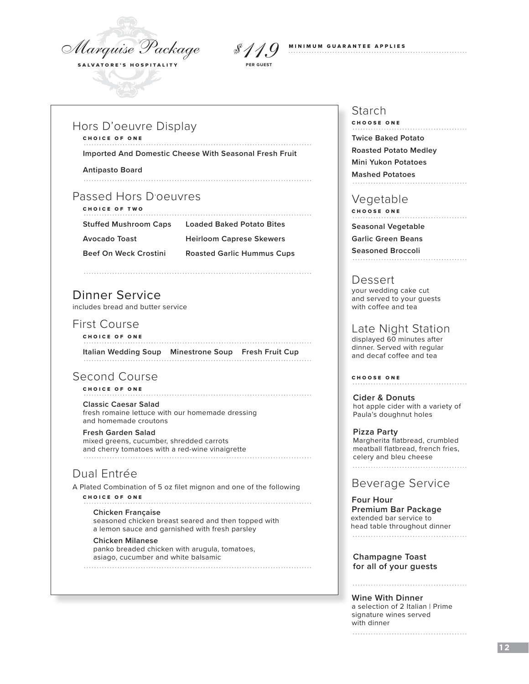*Marquise Package* SALVATORE'S HOSPITALITY



# Hors D'oeuvre Display

CHOICE OF ONE

**Imported And Domestic Cheese With Seasonal Fresh Fruit**

**Antipasto Board**

# Passed Hors D'oeuvres

CHOICE OF TWO

**Stuffed Mushroom Caps Loaded Baked Potato Bites**

**Avocado Toast Heirloom Caprese Skewers**

**Beef On Weck Crostini Roasted Garlic Hummus Cups**

# Dinner Service

includes bread and butter service

# First Course

CHOICE OF ONE 

**Italian Wedding Soup Minestrone Soup Fresh Fruit Cup**

# Second Course

CHOICE OF ONE

**Classic Caesar Salad** fresh romaine lettuce with our homemade dressing and homemade croutons

### **Fresh Garden Salad**

 mixed greens, cucumber, shredded carrots and cherry tomatoes with a red-wine vinaigrette

# Dual Entrée

A Plated Combination of 5 oz filet mignon and one of the following

CHOICE OF ONE

#### **Chicken Française**

 seasoned chicken breast seared and then topped with a lemon sauce and garnished with fresh parsley

### **Chicken Milanese**

 panko breaded chicken with arugula, tomatoes, asiago, cucumber and white balsamic

# Starch

CHOOSE ONE **Twice Baked Potato Roasted Potato Medley Mini Yukon Potatoes Mashed Potatoes**

# Vegetable

CHOOSE ONE

**Seasonal Vegetable**

**Garlic Green Beans**

**Seasoned Broccoli** 

# Dessert

 your wedding cake cut and served to your guests with coffee and tea

# Late Night Station

 displayed 60 minutes after dinner. Served with regular and decaf coffee and tea

CHOOSE ONE

**Cider & Donuts** hot apple cider with a variety of Paula's doughnut holes

**Pizza Party** Margherita flatbread, crumbled meatball flatbread, french fries, celery and bleu cheese

# Beverage Service

 **Four Hour Premium Bar Package** extended bar service to head table throughout dinner 

**Champagne Toast for all of your guests**

#### **Wine With Dinner**

a selection of 2 Italian | Prime signature wines served with dinner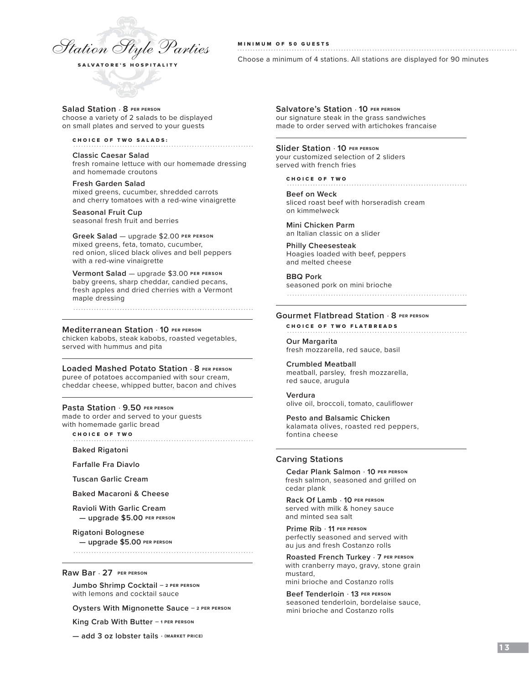

### MINIMUM OF 50 GUESTS

Choose a minimum of 4 stations. All stations are displayed for 90 minutes

#### **Salad Station** . **8 PER PERSON**  choose a variety of 2 salads to be displayed on small plates and served to your guests

CHOICE OF TWO SALADS:

**Classic Caesar Salad** fresh romaine lettuce with our homemade dressing and homemade croutons

**Fresh Garden Salad** mixed greens, cucumber, shredded carrots and cherry tomatoes with a red-wine vinaigrette

**Seasonal Fruit Cup**  seasonal fresh fruit and berries

**Greek Salad** — upgrade \$2.00 **PER PERSON** mixed greens, feta, tomato, cucumber, red onion, sliced black olives and bell peppers with a red-wine vinaigrette

**Vermont Salad** — upgrade \$3.00 **PER PERSON** baby greens, sharp cheddar, candied pecans, fresh apples and dried cherries with a Vermont maple dressing

#### **Mediterranean Station** . **10 PER PERSON**

chicken kabobs, steak kabobs, roasted vegetables, served with hummus and pita

#### **Loaded Mashed Potato Station** . **8 PER PERSON**

puree of potatoes accompanied with sour cream, cheddar cheese, whipped butter, bacon and chives

#### **Pasta Station** . **9.50 PER PERSON**

made to order and served to your guests with homemade garlic bread

CHOICE OF TWO

**Baked Rigatoni**

**Farfalle Fra Diavlo**

**Tuscan Garlic Cream**

**Baked Macaroni & Cheese**

**Ravioli With Garlic Cream — upgrade \$5.00 PER PERSON**

**Rigatoni Bolognese — upgrade \$5.00 PER PERSON**

#### **Raw Bar** . **27 PER PERSON**

**Jumbo Shrimp Cocktail — 2 PER PERSON**  with lemons and cocktail sauce

**Oysters With Mignonette Sauce — 2 PER PERSON** 

**King Crab With Butter — 1 PER PERSON** 

**— add 3 oz lobster tails** . **(MARKET PRICE)**

**Salvatore's Station** . **10 PER PERSON** our signature steak in the grass sandwiches made to order served with artichokes francaise

#### **Slider Station** . **10 PER PERSON**

your customized selection of 2 sliders served with french fries

CHOICE OF TWO

**Beef on Weck** sliced roast beef with horseradish cream on kimmelweck

**Mini Chicken Parm** an Italian classic on a slider

**Philly Cheesesteak**  Hoagies loaded with beef, peppers and melted cheese

**BBQ Pork** seasoned pork on mini brioche

### **Gourmet Flatbread Station** . **8 PER PERSON**

CHOICE OF TWO FLATBREADS

**Our Margarita** fresh mozzarella, red sauce, basil

**Crumbled Meatball** meatball, parsley, fresh mozzarella, red sauce, arugula

**Verdura** olive oil, broccoli, tomato, cauliflower

**Pesto and Balsamic Chicken**  kalamata olives, roasted red peppers, fontina cheese

### **Carving Stations**

**Cedar Plank Salmon** . **10 PER PERSON** fresh salmon, seasoned and grilled on cedar plank

**Rack Of Lamb** . **10 PER PERSON** served with milk & honey sauce and minted sea salt

**Prime Rib** . **11 PER PERSON** perfectly seasoned and served with au jus and fresh Costanzo rolls

**Roasted French Turkey** . **7 PER PERSON** with cranberry mayo, gravy, stone grain mustard, mini brioche and Costanzo rolls

**Beef Tenderloin** . **13 PER PERSON** seasoned tenderloin, bordelaise sauce, mini brioche and Costanzo rolls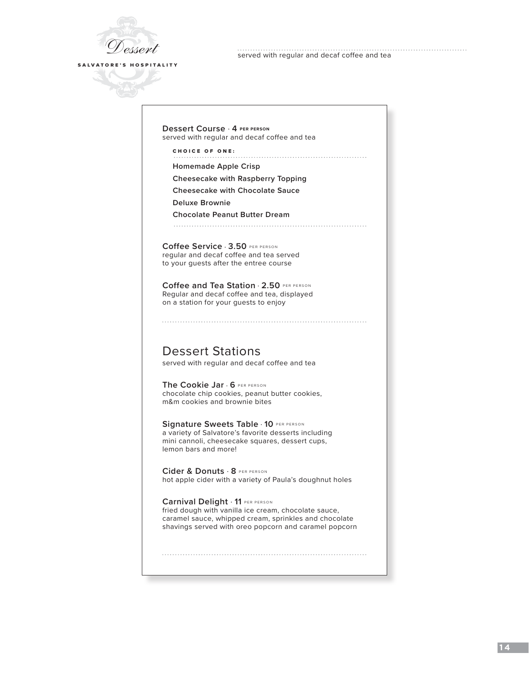

served with regular and decaf coffee and tea

#### **Dessert Course** . **4 PER PERSON**  served with regular and decaf coffee and tea

CHOICE OF ONE:

**Homemade Apple Crisp**

**Cheesecake with Raspberry Topping**

**Cheesecake with Chocolate Sauce**

**Deluxe Brownie**

**Chocolate Peanut Butter Dream**

**Coffee Service** . **3.50** PER PERSON regular and decaf coffee and tea served to your guests after the entree course

**Coffee and Tea Station** . **2.50** PER PERSON Regular and decaf coffee and tea, displayed on a station for your guests to enjoy

Dessert Stations

served with regular and decaf coffee and tea

**The Cookie Jar** . **6** PER PERSON chocolate chip cookies, peanut butter cookies, m&m cookies and brownie bites

**Signature Sweets Table** . **10** PER PERSON a variety of Salvatore's favorite desserts including mini cannoli, cheesecake squares, dessert cups, lemon bars and more!

**Cider & Donuts** . **8** PER PERSON hot apple cider with a variety of Paula's doughnut holes

**Carnival Delight** . **11** PER PERSON fried dough with vanilla ice cream, chocolate sauce, caramel sauce, whipped cream, sprinkles and chocolate shavings served with oreo popcorn and caramel popcorn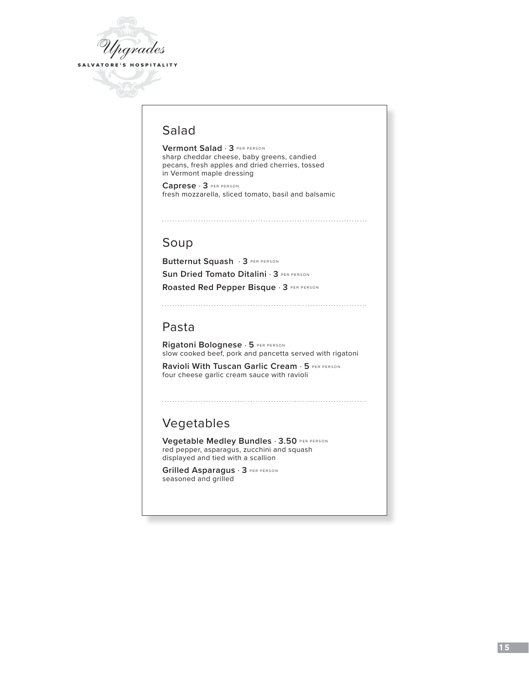

# Salad

**Vermont Salad** . **3** PER PERSON sharp cheddar cheese, baby greens, candied pecans, fresh apples and dried cherries, tossed in Vermont maple dressing

**Caprese** . **3** PER PERSON fresh mozzarella, sliced tomato, basil and balsamic

# Soup

**Butternut Squash** . **3** PER PERSON **Sun Dried Tomato Ditalini** . **3** PER PERSON **Roasted Red Pepper Bisque** . **3** PER PERSON

# Pasta

**Rigatoni Bolognese** . **5** PER PERSON slow cooked beef, pork and pancetta served with rigatoni

**Ravioli With Tuscan Garlic Cream** . **5** PER PERSON four cheese garlic cream sauce with ravioli

# Vegetables

**Vegetable Medley Bundles** . **3.50** PER PERSON red pepper, asparagus, zucchini and squash displayed and tied with a scallion

**Grilled Asparagus** . **3** PER PERSON seasoned and grilled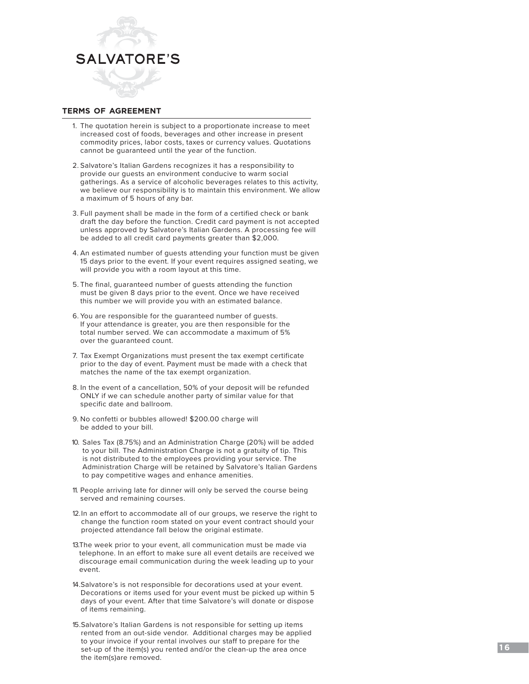

### **terms of agreement**

- 1. The quotation herein is subject to a proportionate increase to meet increased cost of foods, beverages and other increase in present commodity prices, labor costs, taxes or currency values. Quotations cannot be guaranteed until the year of the function.
- 2. Salvatore's Italian Gardens recognizes it has a responsibility to provide our guests an environment conducive to warm social gatherings. As a service of alcoholic beverages relates to this activity, we believe our responsibility is to maintain this environment. We allow a maximum of 5 hours of any bar.
- 3. Full payment shall be made in the form of a certified check or bank draft the day before the function. Credit card payment is not accepted unless approved by Salvatore's Italian Gardens. A processing fee will be added to all credit card payments greater than \$2,000.
- 4. An estimated number of guests attending your function must be given 15 days prior to the event. If your event requires assigned seating, we will provide you with a room layout at this time.
- 5. The final, guaranteed number of guests attending the function must be given 8 days prior to the event. Once we have received this number we will provide you with an estimated balance.
- 6. You are responsible for the guaranteed number of guests. If your attendance is greater, you are then responsible for the total number served. We can accommodate a maximum of 5% over the guaranteed count.
- 7. Tax Exempt Organizations must present the tax exempt certificate prior to the day of event. Payment must be made with a check that matches the name of the tax exempt organization.
- 8. In the event of a cancellation, 50% of your deposit will be refunded ONLY if we can schedule another party of similar value for that specific date and ballroom.
- 9. No confetti or bubbles allowed! \$200.00 charge will be added to your bill.
- 10. Sales Tax (8.75%) and an Administration Charge (20%) will be added to your bill. The Administration Charge is not a gratuity of tip. This is not distributed to the employees providing your service. The Administration Charge will be retained by Salvatore's Italian Gardens to pay competitive wages and enhance amenities.
- 11. People arriving late for dinner will only be served the course being served and remaining courses.
- 12.In an effort to accommodate all of our groups, we reserve the right to change the function room stated on your event contract should your projected attendance fall below the original estimate.
- 13.The week prior to your event, all communication must be made via telephone. In an effort to make sure all event details are received we discourage email communication during the week leading up to your event.
- 14.Salvatore's is not responsible for decorations used at your event. Decorations or items used for your event must be picked up within 5 days of your event. After that time Salvatore's will donate or dispose of items remaining.
- 15.Salvatore's Italian Gardens is not responsible for setting up items rented from an out-side vendor. Additional charges may be applied to your invoice if your rental involves our staff to prepare for the set-up of the item(s) you rented and/or the clean-up the area once the item(s)are removed.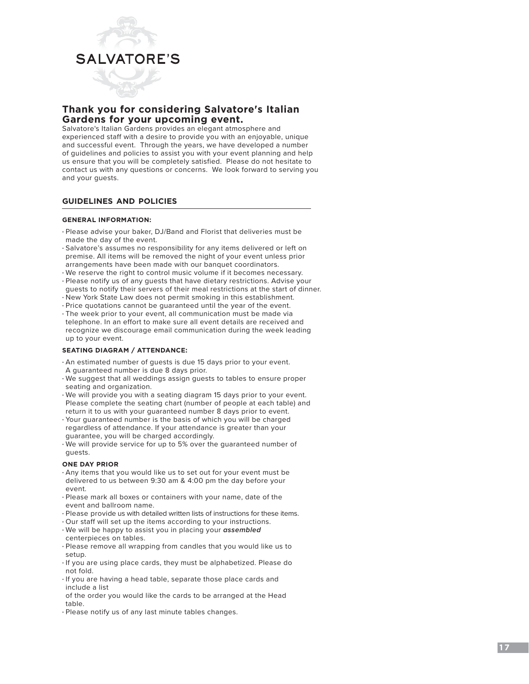

# **Thank you for considering Salvatore's Italian Gardens for your upcoming event.**

Salvatore's Italian Gardens provides an elegant atmosphere and experienced staff with a desire to provide you with an enjoyable, unique and successful event. Through the years, we have developed a number of guidelines and policies to assist you with your event planning and help us ensure that you will be completely satisfied. Please do not hesitate to contact us with any questions or concerns. We look forward to serving you and your guests.

### **guidelines and policies**

#### **GENERAL INFORMATION:**

- Please advise your baker, DJ/Band and Florist that deliveries must be made the day of the event.
- Salvatore's assumes no responsibility for any items delivered or left on premise. All items will be removed the night of your event unless prior arrangements have been made with our banquet coordinators.
- We reserve the right to control music volume if it becomes necessary.
- Please notify us of any guests that have dietary restrictions. Advise your guests to notify their servers of their meal restrictions at the start of dinner.
- New York State Law does not permit smoking in this establishment.
- Price quotations cannot be guaranteed until the year of the event.
- The week prior to your event, all communication must be made via telephone. In an effort to make sure all event details are received and recognize we discourage email communication during the week leading up to your event.

#### **SEATING DIAGRAM / ATTENDANCE:**

- An estimated number of guests is due 15 days prior to your event. A guaranteed number is due 8 days prior.
- We suggest that all weddings assign guests to tables to ensure proper seating and organization.
- We will provide you with a seating diagram 15 days prior to your event. Please complete the seating chart (number of people at each table) and return it to us with your guaranteed number 8 days prior to event.
- Your guaranteed number is the basis of which you will be charged regardless of attendance. If your attendance is greater than your guarantee, you will be charged accordingly.
- We will provide service for up to 5% over the guaranteed number of guests.

#### **ONE DAY PRIOR**

- Any items that you would like us to set out for your event must be delivered to us between 9:30 am & 4:00 pm the day before your event.
- Please mark all boxes or containers with your name, date of the event and ballroom name.
- Please provide us with detailed written lists of instructions for these items.
- Our staff will set up the items according to your instructions. • We will be happy to assist you in placing your *assembled*
- centerpieces on tables. • Please remove all wrapping from candles that you would like us to
- setup.
- If you are using place cards, they must be alphabetized. Please do not fold.
- If you are having a head table, separate those place cards and include a list
- of the order you would like the cards to be arranged at the Head table.
- Please notify us of any last minute tables changes.